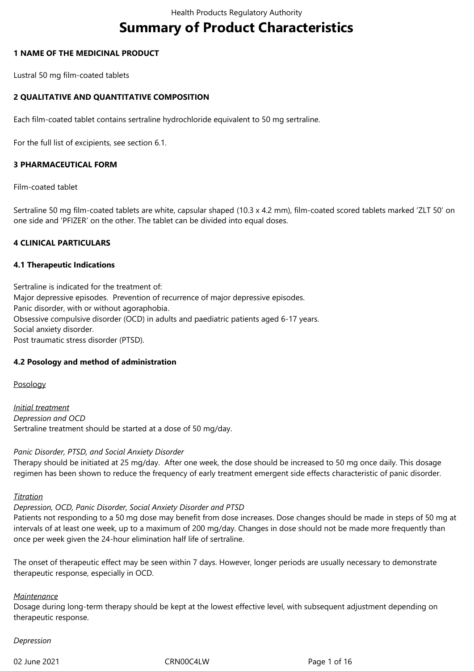# **Summary of Product Characteristics**

## **1 NAME OF THE MEDICINAL PRODUCT**

Lustral 50 mg film-coated tablets

# **2 QUALITATIVE AND QUANTITATIVE COMPOSITION**

Each film-coated tablet contains sertraline hydrochloride equivalent to 50 mg sertraline.

For the full list of excipients, see section 6.1.

## **3 PHARMACEUTICAL FORM**

Film-coated tablet

Sertraline 50 mg film-coated tablets are white, capsular shaped (10.3 x 4.2 mm), film-coated scored tablets marked 'ZLT 50' on one side and 'PFIZER' on the other. The tablet can be divided into equal doses.

## **4 CLINICAL PARTICULARS**

## **4.1 Therapeutic Indications**

Sertraline is indicated for the treatment of: Major depressive episodes. Prevention of recurrence of major depressive episodes. Panic disorder, with or without agoraphobia. Obsessive compulsive disorder (OCD) in adults and paediatric patients aged 6-17 years. Social anxiety disorder. Post traumatic stress disorder (PTSD).

## **4.2 Posology and method of administration**

Posology

*Initial treatment Depression and OCD* Sertraline treatment should be started at a dose of 50 mg/day.

## *Panic Disorder, PTSD, and Social Anxiety Disorder*

Therapy should be initiated at 25 mg/day. After one week, the dose should be increased to 50 mg once daily. This dosage regimen has been shown to reduce the frequency of early treatment emergent side effects characteristic of panic disorder.

## *Titration*

## *Depression, OCD, Panic Disorder, Social Anxiety Disorder and PTSD*

Patients not responding to a 50 mg dose may benefit from dose increases. Dose changes should be made in steps of 50 mg at intervals of at least one week, up to a maximum of 200 mg/day. Changes in dose should not be made more frequently than once per week given the 24-hour elimination half life of sertraline.

The onset of therapeutic effect may be seen within 7 days. However, longer periods are usually necessary to demonstrate therapeutic response, especially in OCD.

## *Maintenance*

Dosage during long-term therapy should be kept at the lowest effective level, with subsequent adjustment depending on therapeutic response.

## *Depression*

02 June 2021 **CRNOOC4LW** CRNOOC4LW Page 1 of 16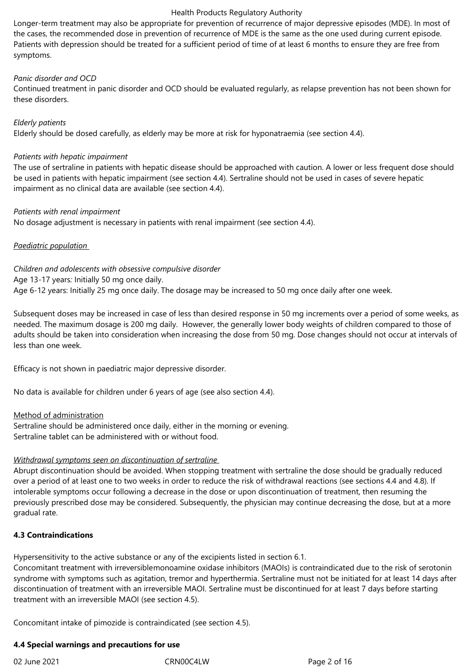Longer-term treatment may also be appropriate for prevention of recurrence of major depressive episodes (MDE). In most of the cases, the recommended dose in prevention of recurrence of MDE is the same as the one used during current episode. Patients with depression should be treated for a sufficient period of time of at least 6 months to ensure they are free from symptoms.

## *Panic disorder and OCD*

Continued treatment in panic disorder and OCD should be evaluated regularly, as relapse prevention has not been shown for these disorders.

## *Elderly patients*

Elderly should be dosed carefully, as elderly may be more at risk for hyponatraemia (see section 4.4).

## *Patients with hepatic impairment*

The use of sertraline in patients with hepatic disease should be approached with caution. A lower or less frequent dose should be used in patients with hepatic impairment (see section 4.4). Sertraline should not be used in cases of severe hepatic impairment as no clinical data are available (see section 4.4).

## *Patients with renal impairment*

No dosage adjustment is necessary in patients with renal impairment (see section 4.4).

## *Paediatric population*

*Children and adolescents with obsessive compulsive disorder* Age 13-17 years*:* Initially 50 mg once daily. Age 6-12 years: Initially 25 mg once daily. The dosage may be increased to 50 mg once daily after one week.

Subsequent doses may be increased in case of less than desired response in 50 mg increments over a period of some weeks, as needed. The maximum dosage is 200 mg daily. However, the generally lower body weights of children compared to those of adults should be taken into consideration when increasing the dose from 50 mg. Dose changes should not occur at intervals of less than one week.

Efficacy is not shown in paediatric major depressive disorder.

No data is available for children under 6 years of age (see also section 4.4).

## Method of administration

Sertraline should be administered once daily, either in the morning or evening. Sertraline tablet can be administered with or without food.

# *Withdrawal symptoms seen on discontinuation of sertraline*

Abrupt discontinuation should be avoided. When stopping treatment with sertraline the dose should be gradually reduced over a period of at least one to two weeks in order to reduce the risk of withdrawal reactions (see sections 4.4 and 4.8). If intolerable symptoms occur following a decrease in the dose or upon discontinuation of treatment, then resuming the previously prescribed dose may be considered. Subsequently, the physician may continue decreasing the dose, but at a more gradual rate.

## **4.3 Contraindications**

Hypersensitivity to the active substance or any of the excipients listed in section 6.1.

Concomitant treatment with irreversiblemonoamine oxidase inhibitors (MAOIs) is contraindicated due to the risk of serotonin syndrome with symptoms such as agitation, tremor and hyperthermia. Sertraline must not be initiated for at least 14 days after discontinuation of treatment with an irreversible MAOI. Sertraline must be discontinued for at least 7 days before starting treatment with an irreversible MAOI (see section 4.5).

Concomitant intake of pimozide is contraindicated (see section 4.5).

# **4.4 Special warnings and precautions for use**

02 June 2021 **CRNOOC4LW** CRNOOC4LW Page 2 of 16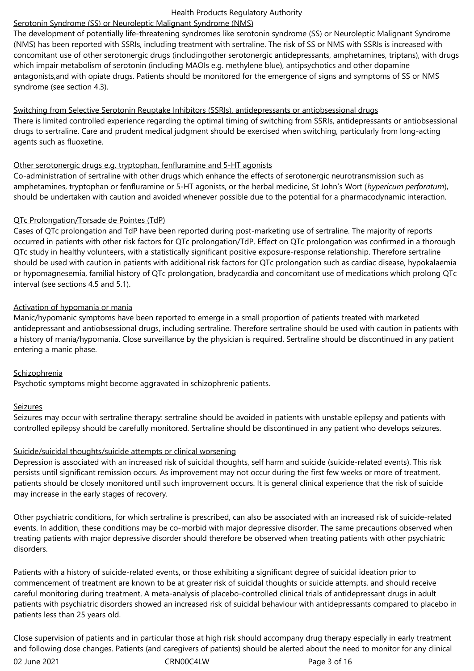# Serotonin Syndrome (SS) or Neuroleptic Malignant Syndrome (NMS)

The development of potentially life-threatening syndromes like serotonin syndrome (SS) or Neuroleptic Malignant Syndrome (NMS) has been reported with SSRIs, including treatment with sertraline. The risk of SS or NMS with SSRIs is increased with concomitant use of other serotonergic drugs (includingother serotonergic antidepressants, amphetamines, triptans), with drugs which impair metabolism of serotonin (including MAOIs e.g. methylene blue), antipsychotics and other dopamine antagonists,and with opiate drugs. Patients should be monitored for the emergence of signs and symptoms of SS or NMS syndrome (see section 4.3).

## Switching from Selective Serotonin Reuptake Inhibitors (SSRIs), antidepressants or antiobsessional drugs

There is limited controlled experience regarding the optimal timing of switching from SSRIs, antidepressants or antiobsessional drugs to sertraline. Care and prudent medical judgment should be exercised when switching, particularly from long-acting agents such as fluoxetine.

## Other serotonergic drugs e.g. tryptophan, fenfluramine and 5-HT agonists

Co-administration of sertraline with other drugs which enhance the effects of serotonergic neurotransmission such as amphetamines, tryptophan or fenfluramine or 5-HT agonists, or the herbal medicine, St John's Wort (*hypericum perforatum*), should be undertaken with caution and avoided whenever possible due to the potential for a pharmacodynamic interaction.

## QTc Prolongation/Torsade de Pointes (TdP)

Cases of QTc prolongation and TdP have been reported during post-marketing use of sertraline. The majority of reports occurred in patients with other risk factors for QTc prolongation/TdP. Effect on QTc prolongation was confirmed in a thorough QTc study in healthy volunteers, with a statistically significant positive exposure‑response relationship. Therefore sertraline should be used with caution in patients with additional risk factors for QTc prolongation such as cardiac disease, hypokalaemia or hypomagnesemia, familial history of QTc prolongation, bradycardia and concomitant use of medications which prolong QTc interval (see sections 4.5 and 5.1).

## Activation of hypomania or mania

Manic/hypomanic symptoms have been reported to emerge in a small proportion of patients treated with marketed antidepressant and antiobsessional drugs, including sertraline. Therefore sertraline should be used with caution in patients with a history of mania/hypomania. Close surveillance by the physician is required. Sertraline should be discontinued in any patient entering a manic phase.

# Schizophrenia

Psychotic symptoms might become aggravated in schizophrenic patients.

# Seizures

Seizures may occur with sertraline therapy: sertraline should be avoided in patients with unstable epilepsy and patients with controlled epilepsy should be carefully monitored. Sertraline should be discontinued in any patient who develops seizures.

# Suicide/suicidal thoughts/suicide attempts or clinical worsening

Depression is associated with an increased risk of suicidal thoughts, self harm and suicide (suicide-related events). This risk persists until significant remission occurs. As improvement may not occur during the first few weeks or more of treatment, patients should be closely monitored until such improvement occurs. It is general clinical experience that the risk of suicide may increase in the early stages of recovery.

Other psychiatric conditions, for which sertraline is prescribed, can also be associated with an increased risk of suicide-related events. In addition, these conditions may be co-morbid with major depressive disorder. The same precautions observed when treating patients with major depressive disorder should therefore be observed when treating patients with other psychiatric disorders.

Patients with a history of suicide-related events, or those exhibiting a significant degree of suicidal ideation prior to commencement of treatment are known to be at greater risk of suicidal thoughts or suicide attempts, and should receive careful monitoring during treatment. A meta‑analysis of placebo‑controlled clinical trials of antidepressant drugs in adult patients with psychiatric disorders showed an increased risk of suicidal behaviour with antidepressants compared to placebo in patients less than 25 years old.

02 June 2021 **CRNOOC4LW** CRNOOC4LW Page 3 of 16 Close supervision of patients and in particular those at high risk should accompany drug therapy especially in early treatment and following dose changes. Patients (and caregivers of patients) should be alerted about the need to monitor for any clinical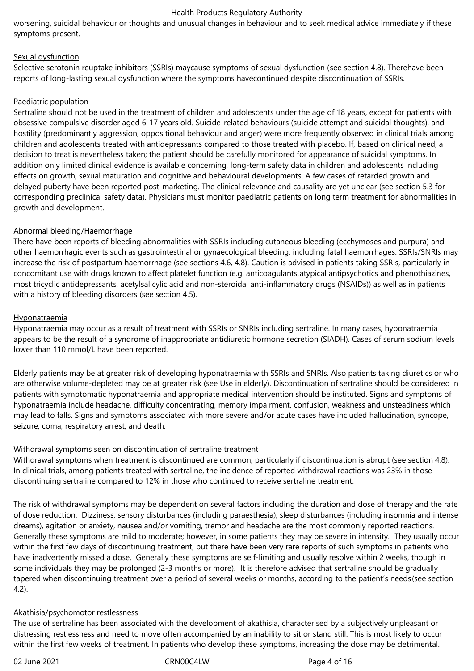worsening, suicidal behaviour or thoughts and unusual changes in behaviour and to seek medical advice immediately if these symptoms present.

## Sexual dysfunction

Selective serotonin reuptake inhibitors (SSRIs) maycause symptoms of sexual dysfunction (see section 4.8). Therehave been reports of long-lasting sexual dysfunction where the symptoms havecontinued despite discontinuation of SSRIs.

## Paediatric population

Sertraline should not be used in the treatment of children and adolescents under the age of 18 years, except for patients with obsessive compulsive disorder aged 6-17 years old. Suicide-related behaviours (suicide attempt and suicidal thoughts), and hostility (predominantly aggression, oppositional behaviour and anger) were more frequently observed in clinical trials among children and adolescents treated with antidepressants compared to those treated with placebo. If, based on clinical need, a decision to treat is nevertheless taken; the patient should be carefully monitored for appearance of suicidal symptoms. In addition only limited clinical evidence is available concerning, long-term safety data in children and adolescents including effects on growth, sexual maturation and cognitive and behavioural developments. A few cases of retarded growth and delayed puberty have been reported post-marketing. The clinical relevance and causality are yet unclear (see section 5.3 for corresponding preclinical safety data). Physicians must monitor paediatric patients on long term treatment for abnormalities in growth and development.

## Abnormal bleeding/Haemorrhage

There have been reports of bleeding abnormalities with SSRIs including cutaneous bleeding (ecchymoses and purpura) and other haemorrhagic events such as gastrointestinal or gynaecological bleeding, including fatal haemorrhages. SSRIs/SNRIs may increase the risk of postpartum haemorrhage (see sections 4.6, 4.8). Caution is advised in patients taking SSRIs, particularly in concomitant use with drugs known to affect platelet function (e.g. anticoagulants,atypical antipsychotics and phenothiazines, most tricyclic antidepressants, acetylsalicylic acid and non-steroidal anti-inflammatory drugs (NSAIDs)) as well as in patients with a history of bleeding disorders (see section 4.5).

## **Hyponatraemia**

Hyponatraemia may occur as a result of treatment with SSRIs or SNRIs including sertraline. In many cases, hyponatraemia appears to be the result of a syndrome of inappropriate antidiuretic hormone secretion (SIADH). Cases of serum sodium levels lower than 110 mmol/L have been reported.

Elderly patients may be at greater risk of developing hyponatraemia with SSRIs and SNRIs. Also patients taking diuretics or who are otherwise volume-depleted may be at greater risk (see Use in elderly). Discontinuation of sertraline should be considered in patients with symptomatic hyponatraemia and appropriate medical intervention should be instituted. Signs and symptoms of hyponatraemia include headache, difficulty concentrating, memory impairment, confusion, weakness and unsteadiness which may lead to falls. Signs and symptoms associated with more severe and/or acute cases have included hallucination, syncope, seizure, coma, respiratory arrest, and death.

# Withdrawal symptoms seen on discontinuation of sertraline treatment

Withdrawal symptoms when treatment is discontinued are common, particularly if discontinuation is abrupt (see section 4.8). In clinical trials, among patients treated with sertraline, the incidence of reported withdrawal reactions was 23% in those discontinuing sertraline compared to 12% in those who continued to receive sertraline treatment.

The risk of withdrawal symptoms may be dependent on several factors including the duration and dose of therapy and the rate of dose reduction. Dizziness, sensory disturbances (including paraesthesia), sleep disturbances (including insomnia and intense dreams), agitation or anxiety, nausea and/or vomiting, tremor and headache are the most commonly reported reactions. Generally these symptoms are mild to moderate; however, in some patients they may be severe in intensity. They usually occur within the first few days of discontinuing treatment, but there have been very rare reports of such symptoms in patients who have inadvertently missed a dose. Generally these symptoms are self-limiting and usually resolve within 2 weeks, though in some individuals they may be prolonged (2-3 months or more). It is therefore advised that sertraline should be gradually tapered when discontinuing treatment over a period of several weeks or months, according to the patient's needs(see section 4.2).

## Akathisia/psychomotor restlessness

The use of sertraline has been associated with the development of akathisia, characterised by a subjectively unpleasant or distressing restlessness and need to move often accompanied by an inability to sit or stand still. This is most likely to occur within the first few weeks of treatment. In patients who develop these symptoms, increasing the dose may be detrimental.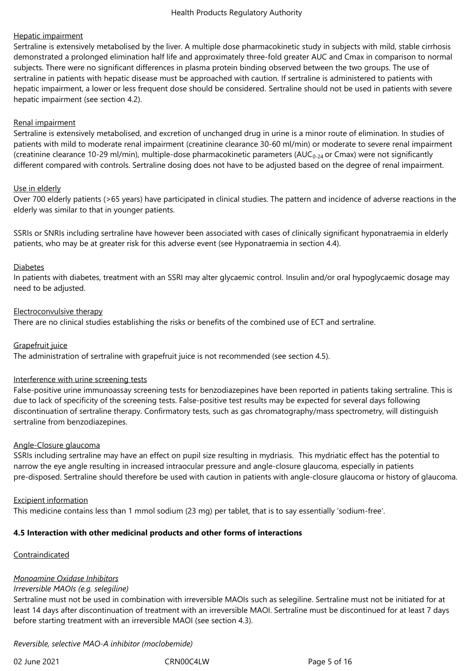## Hepatic impairment

Sertraline is extensively metabolised by the liver. A multiple dose pharmacokinetic study in subjects with mild, stable cirrhosis demonstrated a prolonged elimination half life and approximately three-fold greater AUC and Cmax in comparison to normal subjects. There were no significant differences in plasma protein binding observed between the two groups. The use of sertraline in patients with hepatic disease must be approached with caution. If sertraline is administered to patients with hepatic impairment, a lower or less frequent dose should be considered. Sertraline should not be used in patients with severe hepatic impairment (see section 4.2).

## Renal impairment

Sertraline is extensively metabolised, and excretion of unchanged drug in urine is a minor route of elimination. In studies of patients with mild to moderate renal impairment (creatinine clearance 30‑60 ml/min) or moderate to severe renal impairment (creatinine clearance 10-29 ml/min), multiple-dose pharmacokinetic parameters (AUC<sub>0-24</sub> or Cmax) were not significantly different compared with controls. Sertraline dosing does not have to be adjusted based on the degree of renal impairment.

## Use in elderly

Over 700 elderly patients (>65 years) have participated in clinical studies. The pattern and incidence of adverse reactions in the elderly was similar to that in younger patients.

SSRIs or SNRIs including sertraline have however been associated with cases of clinically significant hyponatraemia in elderly patients, who may be at greater risk for this adverse event (see Hyponatraemia in section 4.4).

## Diabetes

In patients with diabetes, treatment with an SSRI may alter glycaemic control. Insulin and/or oral hypoglycaemic dosage may need to be adjusted.

## Electroconvulsive therapy

There are no clinical studies establishing the risks or benefits of the combined use of ECT and sertraline.

## Grapefruit juice

The administration of sertraline with grapefruit juice is not recommended (see section 4.5).

## Interference with urine screening tests

False-positive urine immunoassay screening tests for benzodiazepines have been reported in patients taking sertraline. This is due to lack of specificity of the screening tests. False-positive test results may be expected for several days following discontinuation of sertraline therapy. Confirmatory tests, such as gas chromatography/mass spectrometry, will distinguish sertraline from benzodiazepines.

## Angle-Closure glaucoma

SSRIs including sertraline may have an effect on pupil size resulting in mydriasis. This mydriatic effect has the potential to narrow the eye angle resulting in increased intraocular pressure and angle-closure glaucoma, especially in patients pre-disposed. Sertraline should therefore be used with caution in patients with angle-closure glaucoma or history of glaucoma.

## Excipient information

This medicine contains less than 1 mmol sodium (23 mg) per tablet, that is to say essentially 'sodium‑free'.

# **4.5 Interaction with other medicinal products and other forms of interactions**

# Contraindicated

# *Monoamine Oxidase Inhibitors*

## *Irreversible MAOIs (e.g. selegiline)*

Sertraline must not be used in combination with irreversible MAOIs such as selegiline. Sertraline must not be initiated for at least 14 days after discontinuation of treatment with an irreversible MAOI. Sertraline must be discontinued for at least 7 days before starting treatment with an irreversible MAOI (see section 4.3).

## *Reversible, selective MAO-A inhibitor (moclobemide)*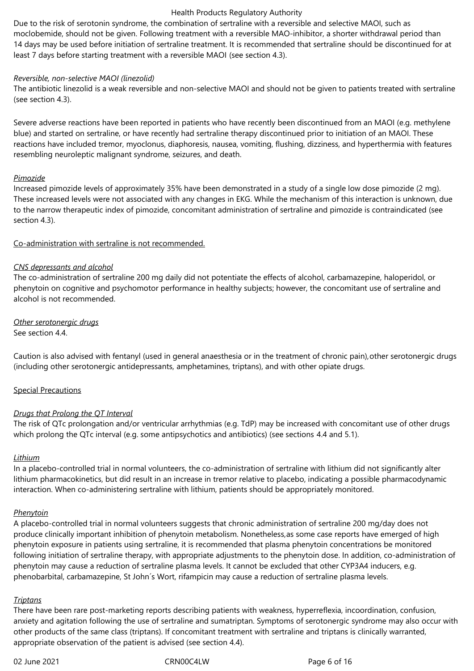Due to the risk of serotonin syndrome, the combination of sertraline with a reversible and selective MAOI, such as moclobemide, should not be given. Following treatment with a reversible MAO‑inhibitor, a shorter withdrawal period than 14 days may be used before initiation of sertraline treatment. It is recommended that sertraline should be discontinued for at least 7 days before starting treatment with a reversible MAOI (see section 4.3).

## *Reversible, non-selective MAOI (linezolid)*

The antibiotic linezolid is a weak reversible and non-selective MAOI and should not be given to patients treated with sertraline (see section 4.3).

Severe adverse reactions have been reported in patients who have recently been discontinued from an MAOI (e.g. methylene blue) and started on sertraline, or have recently had sertraline therapy discontinued prior to initiation of an MAOI. These reactions have included tremor, myoclonus, diaphoresis, nausea, vomiting, flushing, dizziness, and hyperthermia with features resembling neuroleptic malignant syndrome, seizures, and death.

#### *Pimozide*

Increased pimozide levels of approximately 35% have been demonstrated in a study of a single low dose pimozide (2 mg). These increased levels were not associated with any changes in EKG. While the mechanism of this interaction is unknown, due to the narrow therapeutic index of pimozide, concomitant administration of sertraline and pimozide is contraindicated (see section 4.3).

## Co-administration with sertraline is not recommended.

## *CNS depressants and alcohol*

The co-administration of sertraline 200 mg daily did not potentiate the effects of alcohol, carbamazepine, haloperidol, or phenytoin on cognitive and psychomotor performance in healthy subjects; however, the concomitant use of sertraline and alcohol is not recommended.

## *Other serotonergic drugs*

See section 4.4.

Caution is also advised with fentanyl (used in general anaesthesia or in the treatment of chronic pain),other serotonergic drugs (including other serotonergic antidepressants, amphetamines, triptans), and with other opiate drugs.

## Special Precautions

## *Drugs that Prolong the QT Interval*

The risk of QTc prolongation and/or ventricular arrhythmias (e.g. TdP) may be increased with concomitant use of other drugs which prolong the QTc interval (e.g. some antipsychotics and antibiotics) (see sections 4.4 and 5.1).

## *Lithium*

In a placebo-controlled trial in normal volunteers, the co-administration of sertraline with lithium did not significantly alter lithium pharmacokinetics, but did result in an increase in tremor relative to placebo, indicating a possible pharmacodynamic interaction. When co-administering sertraline with lithium, patients should be appropriately monitored.

## *Phenytoin*

A placebo-controlled trial in normal volunteers suggests that chronic administration of sertraline 200 mg/day does not produce clinically important inhibition of phenytoin metabolism. Nonetheless,as some case reports have emerged of high phenytoin exposure in patients using sertraline, it is recommended that plasma phenytoin concentrations be monitored following initiation of sertraline therapy, with appropriate adjustments to the phenytoin dose. In addition, co-administration of phenytoin may cause a reduction of sertraline plasma levels. It cannot be excluded that other CYP3A4 inducers, e.g. phenobarbital, carbamazepine, St John´s Wort, rifampicin may cause a reduction of sertraline plasma levels.

#### *Triptans*

There have been rare post-marketing reports describing patients with weakness, hyperreflexia, incoordination, confusion, anxiety and agitation following the use of sertraline and sumatriptan. Symptoms of serotonergic syndrome may also occur with other products of the same class (triptans). If concomitant treatment with sertraline and triptans is clinically warranted, appropriate observation of the patient is advised (see section 4.4).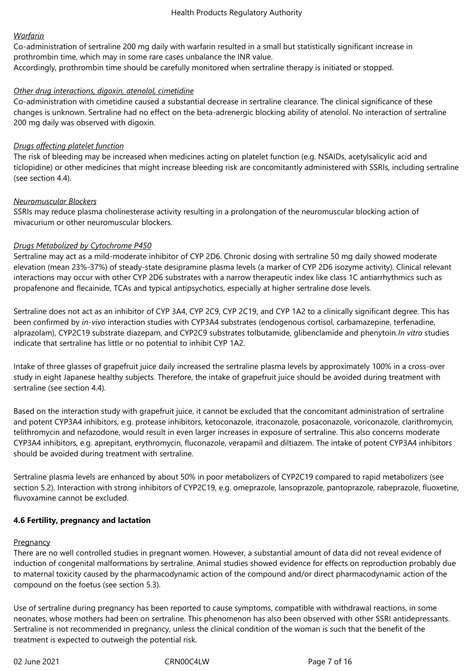## *Warfarin*

Co-administration of sertraline 200 mg daily with warfarin resulted in a small but statistically significant increase in prothrombin time, which may in some rare cases unbalance the INR value. Accordingly, prothrombin time should be carefully monitored when sertraline therapy is initiated or stopped.

## *Other drug interactions, digoxin, atenolol, cimetidine*

Co-administration with cimetidine caused a substantial decrease in sertraline clearance. The clinical significance of these changes is unknown. Sertraline had no effect on the beta-adrenergic blocking ability of atenolol. No interaction of sertraline 200 mg daily was observed with digoxin.

## *Drugs affecting platelet function*

The risk of bleeding may be increased when medicines acting on platelet function (e.g. NSAIDs, acetylsalicylic acid and ticlopidine) or other medicines that might increase bleeding risk are concomitantly administered with SSRIs, including sertraline (see section 4.4).

## *Neuromuscular Blockers*

SSRIs may reduce plasma cholinesterase activity resulting in a prolongation of the neuromuscular blocking action of mivacurium or other neuromuscular blockers.

## *Drugs Metabolized by Cytochrome P450*

Sertraline may act as a mild-moderate inhibitor of CYP 2D6. Chronic dosing with sertraline 50 mg daily showed moderate elevation (mean 23%-37%) of steady-state desipramine plasma levels (a marker of CYP 2D6 isozyme activity). Clinical relevant interactions may occur with other CYP 2D6 substrates with a narrow therapeutic index like class 1C antiarrhythmics such as propafenone and flecainide, TCAs and typical antipsychotics, especially at higher sertraline dose levels.

Sertraline does not act as an inhibitor of CYP 3A4, CYP 2C9, CYP 2C19, and CYP 1A2 to a clinically significant degree. This has been confirmed by *in-vivo* interaction studies with CYP3A4 substrates (endogenous cortisol, carbamazepine, terfenadine, alprazolam), CYP2C19 substrate diazepam, and CYP2C9 substrates tolbutamide, glibenclamide and phenytoin.*In vitro* studies indicate that sertraline has little or no potential to inhibit CYP 1A2.

Intake of three glasses of grapefruit juice daily increased the sertraline plasma levels by approximately 100% in a cross-over study in eight Japanese healthy subjects. Therefore, the intake of grapefruit juice should be avoided during treatment with sertraline (see section 4.4).

Based on the interaction study with grapefruit juice, it cannot be excluded that the concomitant administration of sertraline and potent CYP3A4 inhibitors, e.g. protease inhibitors, ketoconazole, itraconazole, posaconazole, voriconazole, clarithromycin, telithromycin and nefazodone, would result in even larger increases in exposure of sertraline. This also concerns moderate CYP3A4 inhibitors, e.g. aprepitant, erythromycin, fluconazole, verapamil and diltiazem. The intake of potent CYP3A4 inhibitors should be avoided during treatment with sertraline.

Sertraline plasma levels are enhanced by about 50% in poor metabolizers of CYP2C19 compared to rapid metabolizers (see section 5.2). Interaction with strong inhibitors of CYP2C19, e.g. omeprazole, lansoprazole, pantoprazole, rabeprazole, fluoxetine, fluvoxamine cannot be excluded.

# **4.6 Fertility, pregnancy and lactation**

## **Pregnancy**

There are no well controlled studies in pregnant women. However, a substantial amount of data did not reveal evidence of induction of congenital malformations by sertraline. Animal studies showed evidence for effects on reproduction probably due to maternal toxicity caused by the pharmacodynamic action of the compound and/or direct pharmacodynamic action of the compound on the foetus (see section 5.3).

Use of sertraline during pregnancy has been reported to cause symptoms, compatible with withdrawal reactions, in some neonates, whose mothers had been on sertraline. This phenomenon has also been observed with other SSRI antidepressants. Sertraline is not recommended in pregnancy, unless the clinical condition of the woman is such that the benefit of the treatment is expected to outweigh the potential risk.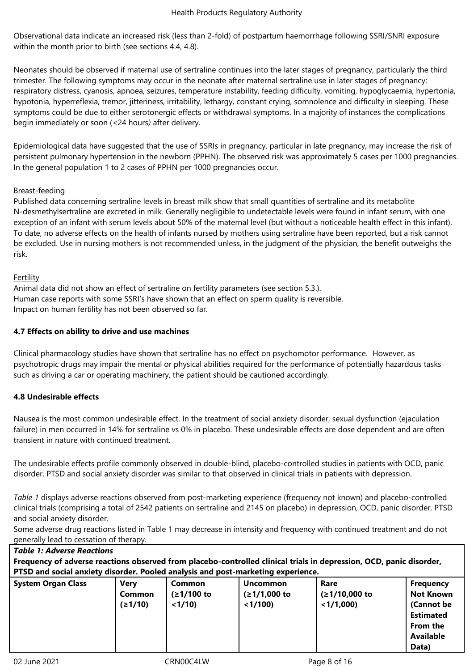Observational data indicate an increased risk (less than 2-fold) of postpartum haemorrhage following SSRI/SNRI exposure within the month prior to birth (see sections 4.4, 4.8).

Neonates should be observed if maternal use of sertraline continues into the later stages of pregnancy, particularly the third trimester. The following symptoms may occur in the neonate after maternal sertraline use in later stages of pregnancy: respiratory distress, cyanosis, apnoea, seizures, temperature instability, feeding difficulty, vomiting, hypoglycaemia, hypertonia, hypotonia, hyperreflexia, tremor, jitteriness, irritability, lethargy, constant crying, somnolence and difficulty in sleeping. These symptoms could be due to either serotonergic effects or withdrawal symptoms. In a majority of instances the complications begin immediately or soon (<24 hours*)* after delivery.

Epidemiological data have suggested that the use of SSRIs in pregnancy, particular in late pregnancy, may increase the risk of persistent pulmonary hypertension in the newborn (PPHN). The observed risk was approximately 5 cases per 1000 pregnancies. In the general population 1 to 2 cases of PPHN per 1000 pregnancies occur.

# Breast-feeding

Published data concerning sertraline levels in breast milk show that small quantities of sertraline and its metabolite N-desmethylsertraline are excreted in milk. Generally negligible to undetectable levels were found in infant serum, with one exception of an infant with serum levels about 50% of the maternal level (but without a noticeable health effect in this infant). To date, no adverse effects on the health of infants nursed by mothers using sertraline have been reported, but a risk cannot be excluded. Use in nursing mothers is not recommended unless, in the judgment of the physician, the benefit outweighs the risk.

# Fertility

Animal data did not show an effect of sertraline on fertility parameters (see section 5.3.). Human case reports with some SSRI's have shown that an effect on sperm quality is reversible. Impact on human fertility has not been observed so far.

## **4.7 Effects on ability to drive and use machines**

Clinical pharmacology studies have shown that sertraline has no effect on psychomotor performance. However, as psychotropic drugs may impair the mental or physical abilities required for the performance of potentially hazardous tasks such as driving a car or operating machinery, the patient should be cautioned accordingly.

# **4.8 Undesirable effects**

Nausea is the most common undesirable effect. In the treatment of social anxiety disorder, sexual dysfunction (ejaculation failure) in men occurred in 14% for sertraline vs 0% in placebo. These undesirable effects are dose dependent and are often transient in nature with continued treatment.

The undesirable effects profile commonly observed in double-blind, placebo-controlled studies in patients with OCD, panic disorder, PTSD and social anxiety disorder was similar to that observed in clinical trials in patients with depression.

*Table 1* displays adverse reactions observed from post-marketing experience (frequency not known) and placebo-controlled clinical trials (comprising a total of 2542 patients on sertraline and 2145 on placebo) in depression, OCD, panic disorder, PTSD and social anxiety disorder.

Some adverse drug reactions listed in Table 1 may decrease in intensity and frequency with continued treatment and do not generally lead to cessation of therapy.

| <b>Table 1: Adverse Reactions</b>                                                                                   |             |            |                 |               |                  |  |
|---------------------------------------------------------------------------------------------------------------------|-------------|------------|-----------------|---------------|------------------|--|
| Frequency of adverse reactions observed from placebo-controlled clinical trials in depression, OCD, panic disorder, |             |            |                 |               |                  |  |
| PTSD and social anxiety disorder. Pooled analysis and post-marketing experience.                                    |             |            |                 |               |                  |  |
| <b>System Organ Class</b>                                                                                           | <b>Very</b> | Common     | <b>Uncommon</b> | Rare          | <b>Frequency</b> |  |
|                                                                                                                     | Common      | (≥1/100 to | $(≥1/1,000$ to  | (≥1/10,000 to | <b>Not Known</b> |  |
|                                                                                                                     | (21/10)     | $<1/10$ )  | < 1/100         | $<$ 1/1,000)  | (Cannot be       |  |
|                                                                                                                     |             |            |                 |               | <b>Estimated</b> |  |
|                                                                                                                     |             |            |                 |               | From the         |  |
|                                                                                                                     |             |            |                 |               | <b>Available</b> |  |
|                                                                                                                     |             |            |                 |               | Data)            |  |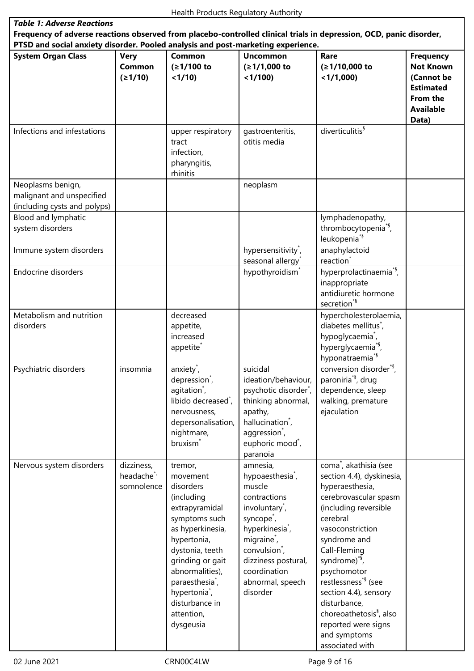l.

| <b>Table 1: Adverse Reactions</b>                                                                                                                                                                       |                                                   |                                                                                                                                                                                                                                                                                         |                                                                                                                                                                                                                                                                                          |                                                                                                                                                                                                                                                                                                                                                                                                                               |                                                                                                                 |  |
|---------------------------------------------------------------------------------------------------------------------------------------------------------------------------------------------------------|---------------------------------------------------|-----------------------------------------------------------------------------------------------------------------------------------------------------------------------------------------------------------------------------------------------------------------------------------------|------------------------------------------------------------------------------------------------------------------------------------------------------------------------------------------------------------------------------------------------------------------------------------------|-------------------------------------------------------------------------------------------------------------------------------------------------------------------------------------------------------------------------------------------------------------------------------------------------------------------------------------------------------------------------------------------------------------------------------|-----------------------------------------------------------------------------------------------------------------|--|
| Frequency of adverse reactions observed from placebo-controlled clinical trials in depression, OCD, panic disorder,<br>PTSD and social anxiety disorder. Pooled analysis and post-marketing experience. |                                                   |                                                                                                                                                                                                                                                                                         |                                                                                                                                                                                                                                                                                          |                                                                                                                                                                                                                                                                                                                                                                                                                               |                                                                                                                 |  |
|                                                                                                                                                                                                         |                                                   |                                                                                                                                                                                                                                                                                         |                                                                                                                                                                                                                                                                                          |                                                                                                                                                                                                                                                                                                                                                                                                                               |                                                                                                                 |  |
| <b>System Organ Class</b>                                                                                                                                                                               | <b>Very</b><br><b>Common</b><br>(21/10)           | Common<br>(≥1/100 to<br>< 1/10                                                                                                                                                                                                                                                          | <b>Uncommon</b><br>$(≥1/1,000$ to<br>< 1/100                                                                                                                                                                                                                                             | Rare<br>(≥1/10,000 to<br>$<$ 1/1,000)                                                                                                                                                                                                                                                                                                                                                                                         | <b>Frequency</b><br><b>Not Known</b><br>(Cannot be<br><b>Estimated</b><br>From the<br><b>Available</b><br>Data) |  |
| Infections and infestations                                                                                                                                                                             |                                                   | upper respiratory<br>tract<br>infection,<br>pharyngitis,<br>rhinitis                                                                                                                                                                                                                    | gastroenteritis,<br>otitis media                                                                                                                                                                                                                                                         | diverticulitis <sup>§</sup>                                                                                                                                                                                                                                                                                                                                                                                                   |                                                                                                                 |  |
| Neoplasms benign,<br>malignant and unspecified<br>(including cysts and polyps)                                                                                                                          |                                                   |                                                                                                                                                                                                                                                                                         | neoplasm                                                                                                                                                                                                                                                                                 |                                                                                                                                                                                                                                                                                                                                                                                                                               |                                                                                                                 |  |
| Blood and lymphatic<br>system disorders                                                                                                                                                                 |                                                   |                                                                                                                                                                                                                                                                                         |                                                                                                                                                                                                                                                                                          | lymphadenopathy,<br>thrombocytopenia <sup>*§</sup> ,<br>leukopenia <sup>*§</sup>                                                                                                                                                                                                                                                                                                                                              |                                                                                                                 |  |
| Immune system disorders                                                                                                                                                                                 |                                                   |                                                                                                                                                                                                                                                                                         | hypersensitivity <sup>*</sup> ,<br>seasonal allergy                                                                                                                                                                                                                                      | anaphylactoid<br>reaction <sup>*</sup>                                                                                                                                                                                                                                                                                                                                                                                        |                                                                                                                 |  |
| Endocrine disorders                                                                                                                                                                                     |                                                   |                                                                                                                                                                                                                                                                                         | hypothyroidism <sup>*</sup>                                                                                                                                                                                                                                                              | hyperprolactinaemia <sup>*§</sup> ,<br>inappropriate<br>antidiuretic hormone<br>secretion <sup>*§</sup>                                                                                                                                                                                                                                                                                                                       |                                                                                                                 |  |
| Metabolism and nutrition<br>disorders                                                                                                                                                                   |                                                   | decreased<br>appetite,<br>increased<br>appetite <sup>*</sup>                                                                                                                                                                                                                            |                                                                                                                                                                                                                                                                                          | hypercholesterolaemia,<br>diabetes mellitus <sup>*</sup> ,<br>hypoglycaemia <sup>*</sup> ,<br>hyperglycaemia <sup>*§</sup> ,<br>hyponatraemia <sup>*§</sup>                                                                                                                                                                                                                                                                   |                                                                                                                 |  |
| Psychiatric disorders                                                                                                                                                                                   | insomnia                                          | anxiety <sup>*</sup> ,<br>depression <sup>7</sup> ,<br>agitation <sup>*</sup> ,<br>libido decreased <sup>*</sup> ,<br>nervousness,<br>depersonalisation,<br>nightmare,<br>bruxism <sup>*</sup>                                                                                          | suicidal<br>ideation/behaviour,<br>psychotic disorder <sup>*</sup> ,<br>thinking abnormal,<br>apathy,<br>hallucination <sup>*</sup> ,<br>aggression <sup>*</sup> ,<br>euphoric mood <sup>*</sup> ,<br>paranoia                                                                           | conversion disorder <sup>*§</sup> ,<br>paroniria <sup>*§</sup> , drug<br>dependence, sleep<br>walking, premature<br>ejaculation                                                                                                                                                                                                                                                                                               |                                                                                                                 |  |
| Nervous system disorders                                                                                                                                                                                | dizziness,<br>headache <sup>*</sup><br>somnolence | tremor,<br>movement<br>disorders<br>(including<br>extrapyramidal<br>symptoms such<br>as hyperkinesia,<br>hypertonia,<br>dystonia, teeth<br>grinding or gait<br>abnormalities),<br>paraesthesia <sup>*</sup> ,<br>hypertonia <sup>*</sup> ,<br>disturbance in<br>attention,<br>dysgeusia | amnesia,<br>hypoaesthesia <sup>*</sup> ,<br>muscle<br>contractions<br>involuntary <sup>*</sup> ,<br>syncope <sup>*</sup> ,<br>hyperkinesia <sup>*</sup> ,<br>migraine <sup>*</sup> ,<br>convulsion <sup>*</sup> ,<br>dizziness postural,<br>coordination<br>abnormal, speech<br>disorder | coma <sup>*</sup> , akathisia (see<br>section 4.4), dyskinesia,<br>hyperaesthesia,<br>cerebrovascular spasm<br>(including reversible<br>cerebral<br>vasoconstriction<br>syndrome and<br>Call-Fleming<br>syndrome) <sup>*§</sup> ,<br>psychomotor<br>restlessness <sup>*§</sup> (see<br>section 4.4), sensory<br>disturbance,<br>choreoathetosis <sup>§</sup> , also<br>reported were signs<br>and symptoms<br>associated with |                                                                                                                 |  |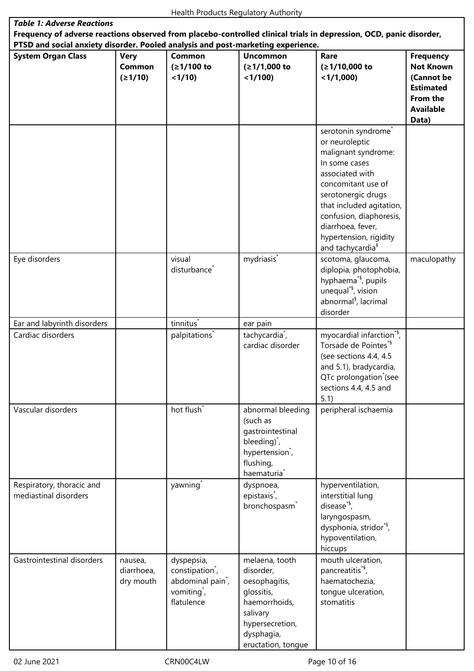| <b>Table 1: Adverse Reactions</b>                                                                                                                                                                       |                                    |                                                                                                                     |                                                                                                                                                      |                                                                                                                                                                                                                                                                                                |                                                                                             |  |
|---------------------------------------------------------------------------------------------------------------------------------------------------------------------------------------------------------|------------------------------------|---------------------------------------------------------------------------------------------------------------------|------------------------------------------------------------------------------------------------------------------------------------------------------|------------------------------------------------------------------------------------------------------------------------------------------------------------------------------------------------------------------------------------------------------------------------------------------------|---------------------------------------------------------------------------------------------|--|
| Frequency of adverse reactions observed from placebo-controlled clinical trials in depression, OCD, panic disorder,<br>PTSD and social anxiety disorder. Pooled analysis and post-marketing experience. |                                    |                                                                                                                     |                                                                                                                                                      |                                                                                                                                                                                                                                                                                                |                                                                                             |  |
| <b>System Organ Class</b>                                                                                                                                                                               | <b>Very</b>                        | Common                                                                                                              | <b>Uncommon</b>                                                                                                                                      | Rare                                                                                                                                                                                                                                                                                           | <b>Frequency</b>                                                                            |  |
|                                                                                                                                                                                                         | Common<br>(21/10)                  | (≥1/100 to<br>< 1/10                                                                                                | $(≥1/1,000$ to<br>$<$ 1/100)                                                                                                                         | (≥1/10,000 to<br>$<$ 1/1,000)                                                                                                                                                                                                                                                                  | <b>Not Known</b><br>(Cannot be<br><b>Estimated</b><br>From the<br><b>Available</b><br>Data) |  |
|                                                                                                                                                                                                         |                                    |                                                                                                                     |                                                                                                                                                      | serotonin syndrome <sup>*</sup><br>or neuroleptic<br>malignant syndrome:<br>In some cases<br>associated with<br>concomitant use of<br>serotonergic drugs<br>that included agitation,<br>confusion, diaphoresis,<br>diarrhoea, fever,<br>hypertension, rigidity<br>and tachycardia <sup>§</sup> |                                                                                             |  |
| Eye disorders                                                                                                                                                                                           |                                    | visual<br>disturbance <sup>*</sup>                                                                                  | mydriasis <sup>*</sup>                                                                                                                               | scotoma, glaucoma,<br>diplopia, photophobia,<br>hyphaema <sup>*§</sup> , pupils<br>unequal <sup>*§</sup> , vision<br>abnormal <sup>§</sup> , lacrimal<br>disorder                                                                                                                              | maculopathy                                                                                 |  |
| Ear and labyrinth disorders                                                                                                                                                                             |                                    | tinnitus <sup>*</sup>                                                                                               | ear pain                                                                                                                                             |                                                                                                                                                                                                                                                                                                |                                                                                             |  |
| Cardiac disorders                                                                                                                                                                                       |                                    | palpitations <sup>*</sup>                                                                                           | tachycardia <sup>*</sup> ,<br>cardiac disorder                                                                                                       | myocardial infarction <sup>*§</sup> ,<br>Torsade de Pointes*§<br>(see sections 4.4, 4.5<br>and 5.1), bradycardia,<br>QTc prolongation (see<br>sections 4.4, 4.5 and<br>5.1)                                                                                                                    |                                                                                             |  |
| Vascular disorders                                                                                                                                                                                      |                                    | hot flush <sup>*</sup>                                                                                              | abnormal bleeding<br>(such as<br>gastrointestinal<br>bleeding) <sup>*</sup> ,<br>hypertension <sup>*</sup> ,<br>flushing,<br>haematuria <sup>*</sup> | peripheral ischaemia                                                                                                                                                                                                                                                                           |                                                                                             |  |
| Respiratory, thoracic and<br>mediastinal disorders                                                                                                                                                      |                                    | yawning <sup>*</sup>                                                                                                | dyspnoea,<br>epistaxis <sup>*</sup> ,<br>bronchospasm <sup>*</sup>                                                                                   | hyperventilation,<br>interstitial lung<br>disease <sup>*§</sup> ,<br>laryngospasm,<br>dysphonia, stridor <sup>*§</sup> ,<br>hypoventilation,<br>hiccups                                                                                                                                        |                                                                                             |  |
| Gastrointestinal disorders                                                                                                                                                                              | nausea,<br>diarrhoea,<br>dry mouth | dyspepsia,<br>constipation <sup>*</sup> ,<br>abdominal pain <sup>*</sup> ,<br>vomiting <sup>*</sup> ,<br>flatulence | melaena, tooth<br>disorder,<br>oesophagitis,<br>glossitis,<br>haemorrhoids,<br>salivary<br>hypersecretion,<br>dysphagia,<br>eructation, tongue       | mouth ulceration,<br>pancreatitis <sup>*§</sup> ,<br>haematochezia,<br>tongue ulceration,<br>stomatitis                                                                                                                                                                                        |                                                                                             |  |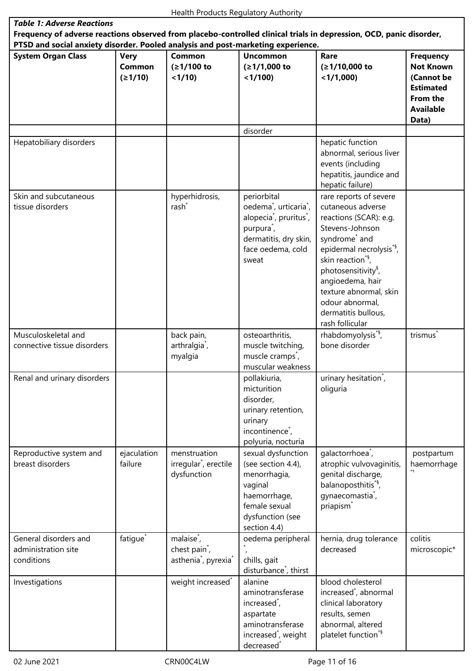٦

| <b>Table 1: Adverse Reactions</b><br>Frequency of adverse reactions observed from placebo-controlled clinical trials in depression, OCD, panic disorder,<br>PTSD and social anxiety disorder. Pooled analysis and post-marketing experience. |                                  |                                                                                                     |                                                                                                                                                                                                   |                                                                                                                                                                                                                                                                                                                                              |                                                                                                                 |  |
|----------------------------------------------------------------------------------------------------------------------------------------------------------------------------------------------------------------------------------------------|----------------------------------|-----------------------------------------------------------------------------------------------------|---------------------------------------------------------------------------------------------------------------------------------------------------------------------------------------------------|----------------------------------------------------------------------------------------------------------------------------------------------------------------------------------------------------------------------------------------------------------------------------------------------------------------------------------------------|-----------------------------------------------------------------------------------------------------------------|--|
| <b>System Organ Class</b>                                                                                                                                                                                                                    | <b>Very</b><br>Common<br>(21/10) | <b>Common</b><br>(≥1/100 to<br>< 1/10                                                               | <b>Uncommon</b><br>$(≥1/1,000$ to<br>< 1/100                                                                                                                                                      | Rare<br>(≥1/10,000 to<br>$<$ 1/1,000)                                                                                                                                                                                                                                                                                                        | <b>Frequency</b><br><b>Not Known</b><br>(Cannot be<br><b>Estimated</b><br>From the<br><b>Available</b><br>Data) |  |
|                                                                                                                                                                                                                                              |                                  |                                                                                                     | disorder                                                                                                                                                                                          |                                                                                                                                                                                                                                                                                                                                              |                                                                                                                 |  |
| Hepatobiliary disorders                                                                                                                                                                                                                      |                                  |                                                                                                     |                                                                                                                                                                                                   | hepatic function<br>abnormal, serious liver<br>events (including<br>hepatitis, jaundice and<br>hepatic failure)                                                                                                                                                                                                                              |                                                                                                                 |  |
| Skin and subcutaneous<br>tissue disorders                                                                                                                                                                                                    |                                  | hyperhidrosis,<br>rash <sup>*</sup>                                                                 | periorbital<br>oedema <sup>*</sup> , urticaria <sup>*</sup> ,<br>alopecia <sup>*</sup> , pruritus <sup>*</sup> ,<br>purpura <sup>*</sup> ,<br>dermatitis, dry skin,<br>face oedema, cold<br>sweat | rare reports of severe<br>cutaneous adverse<br>reactions (SCAR): e.g.<br>Stevens-Johnson<br>syndrome <sup>*</sup> and<br>epidermal necrolysis <sup>*§</sup> ,<br>skin reaction <sup>*§</sup> ,<br>photosensitivity <sup>§</sup> ,<br>angioedema, hair<br>texture abnormal, skin<br>odour abnormal,<br>dermatitis bullous,<br>rash follicular |                                                                                                                 |  |
| Musculoskeletal and<br>connective tissue disorders                                                                                                                                                                                           |                                  | back pain,<br>arthralgia <sup>*</sup> ,<br>myalgia                                                  | osteoarthritis,<br>muscle twitching,<br>muscle cramps <sup>*</sup> ,<br>muscular weakness                                                                                                         | rhabdomyolysis <sup>*§</sup> ,<br>bone disorder                                                                                                                                                                                                                                                                                              | trismus                                                                                                         |  |
| Renal and urinary disorders                                                                                                                                                                                                                  |                                  |                                                                                                     | pollakiuria,<br>micturition<br>disorder,<br>urinary retention,<br>urinary<br>incontinence <sup>*</sup> ,<br>polyuria, nocturia                                                                    | urinary hesitation <sup>*</sup> ,<br>oliguria                                                                                                                                                                                                                                                                                                |                                                                                                                 |  |
| Reproductive system and<br>breast disorders                                                                                                                                                                                                  | ejaculation<br>failure           | menstruation<br>irregular <sup>*</sup> , erectile<br>dysfunction                                    | sexual dysfunction<br>(see section 4.4),<br>menorrhagia,<br>vaginal<br>haemorrhage,<br>female sexual<br>dysfunction (see<br>section 4.4)                                                          | galactorrhoea <sup>*</sup> ,<br>atrophic vulvovaginitis,<br>genital discharge,<br>balanoposthitis <sup>*§</sup> ,<br>gynaecomastia <sup>*</sup> ,<br>priapism <sup>*</sup>                                                                                                                                                                   | postpartum<br>haemorrhage                                                                                       |  |
| General disorders and<br>administration site<br>conditions                                                                                                                                                                                   | fatigue <sup>*</sup>             | malaise <sup>*</sup> ,<br>chest pain <sup>*</sup> ,<br>asthenia <sup>*</sup> , pyrexia <sup>*</sup> | oedema peripheral<br>chills, gait                                                                                                                                                                 | hernia, drug tolerance<br>decreased                                                                                                                                                                                                                                                                                                          | colitis<br>microscopic*                                                                                         |  |
| Investigations                                                                                                                                                                                                                               |                                  | weight increased <sup>*</sup>                                                                       | disturbance <sup>*</sup> , thirst<br>alanine<br>aminotransferase<br>increased <sup>*</sup> ,<br>aspartate<br>aminotransferase<br>increased <sup>*</sup> , weight<br>decreased <sup>*</sup>        | blood cholesterol<br>increased <sup>*</sup> , abnormal<br>clinical laboratory<br>results, semen<br>abnormal, altered<br>platelet function <sup>*§</sup>                                                                                                                                                                                      |                                                                                                                 |  |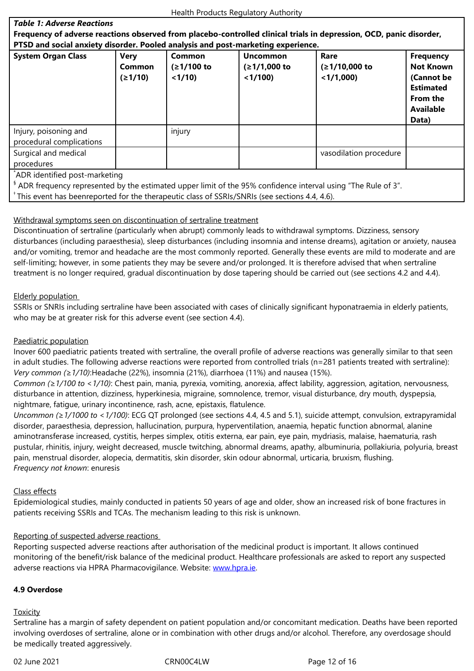#### **PTSD and social anxiety disorder. Pooled analysis and post-marketing experience.**

| -9----                                                                                                                                                     |                                         |                                |                                              |                                       |                                                                                                                 |  |
|------------------------------------------------------------------------------------------------------------------------------------------------------------|-----------------------------------------|--------------------------------|----------------------------------------------|---------------------------------------|-----------------------------------------------------------------------------------------------------------------|--|
| <b>System Organ Class</b>                                                                                                                                  | <b>Very</b><br><b>Common</b><br>(≥1/10) | Common<br>(≥1/100 to<br>< 1/10 | <b>Uncommon</b><br>$(≥1/1,000$ to<br>< 1/100 | Rare<br>(≥1/10,000 to<br>$<$ 1/1,000) | <b>Frequency</b><br><b>Not Known</b><br>(Cannot be<br><b>Estimated</b><br>From the<br><b>Available</b><br>Data) |  |
| Injury, poisoning and<br>procedural complications                                                                                                          |                                         | injury                         |                                              |                                       |                                                                                                                 |  |
| Surgical and medical<br>procedures                                                                                                                         |                                         |                                |                                              | vasodilation procedure                |                                                                                                                 |  |
| ADR identified post-marketing<br><sup>8</sup> ADR frequency represented by the estimated upper limit of the 95% confidence interval using "The Rule of 3". |                                         |                                |                                              |                                       |                                                                                                                 |  |

<sup>+</sup> This event has beenreported for the therapeutic class of SSRIs/SNRIs (see sections 4.4, 4.6).

## Withdrawal symptoms seen on discontinuation of sertraline treatment

Discontinuation of sertraline (particularly when abrupt) commonly leads to withdrawal symptoms. Dizziness, sensory disturbances (including paraesthesia), sleep disturbances (including insomnia and intense dreams), agitation or anxiety, nausea and/or vomiting, tremor and headache are the most commonly reported. Generally these events are mild to moderate and are self-limiting; however, in some patients they may be severe and/or prolonged. It is therefore advised that when sertraline treatment is no longer required, gradual discontinuation by dose tapering should be carried out (see sections 4.2 and 4.4).

## Elderly population

SSRIs or SNRIs including sertraline have been associated with cases of clinically significant hyponatraemia in elderly patients, who may be at greater risk for this adverse event (see section 4.4).

## Paediatric population

Inover 600 paediatric patients treated with sertraline, the overall profile of adverse reactions was generally similar to that seen in adult studies. The following adverse reactions were reported from controlled trials (n=281 patients treated with sertraline): *Very common (≥1/10)*:Headache (22%), insomnia (21%), diarrhoea (11%) and nausea (15%).

*Common (≥1/100 to <1/10)*: Chest pain, mania, pyrexia, vomiting, anorexia, affect lability, aggression, agitation, nervousness, disturbance in attention, dizziness, hyperkinesia, migraine, somnolence, tremor, visual disturbance, dry mouth, dyspepsia, nightmare, fatigue, urinary incontinence, rash, acne, epistaxis, flatulence.

*Uncommon (≥1/1000 to <1/100)*: ECG QT prolonged (see sections 4.4, 4.5 and 5.1), suicide attempt, convulsion, extrapyramidal disorder, paraesthesia, depression, hallucination, purpura, hyperventilation, anaemia, hepatic function abnormal, alanine aminotransferase increased, cystitis, herpes simplex, otitis externa, ear pain, eye pain, mydriasis, malaise, haematuria, rash pustular, rhinitis, injury, weight decreased, muscle twitching, abnormal dreams, apathy, albuminuria, pollakiuria, polyuria, breast pain, menstrual disorder, alopecia, dermatitis, skin disorder, skin odour abnormal, urticaria, bruxism, flushing. *Frequency not known*: enuresis

## Class effects

Epidemiological studies, mainly conducted in patients 50 years of age and older, show an increased risk of bone fractures in patients receiving SSRIs and TCAs. The mechanism leading to this risk is unknown.

## Reporting of suspected adverse reactions

Reporting suspected adverse reactions after authorisation of the medicinal product is important. It allows continued monitoring of the benefit/risk balance of the medicinal product. Healthcare professionals are asked to report any suspected adverse reactions via HPRA Pharmacovigilance. Website: www.hpra.ie.

## **4.9 Overdose**

## **Toxicity**

Sertraline has a margin of safety dependent on patient population and/or concomitant medication. Deaths have been reported involving overdoses of sertraline, alone or in combination with other drugs and/or alcohol. Therefore, any overdosage should be medically treated aggressively.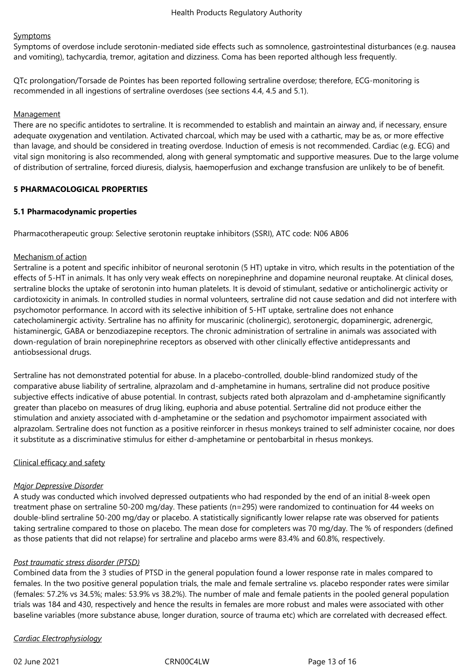## **Symptoms**

Symptoms of overdose include serotonin-mediated side effects such as somnolence, gastrointestinal disturbances (e.g. nausea and vomiting), tachycardia, tremor, agitation and dizziness. Coma has been reported although less frequently.

QTc prolongation/Torsade de Pointes has been reported following sertraline overdose; therefore, ECG-monitoring is recommended in all ingestions of sertraline overdoses (see sections 4.4, 4.5 and 5.1).

## **Management**

There are no specific antidotes to sertraline. It is recommended to establish and maintain an airway and, if necessary, ensure adequate oxygenation and ventilation. Activated charcoal, which may be used with a cathartic, may be as, or more effective than lavage, and should be considered in treating overdose. Induction of emesis is not recommended. Cardiac (e.g. ECG) and vital sign monitoring is also recommended, along with general symptomatic and supportive measures. Due to the large volume of distribution of sertraline, forced diuresis, dialysis, haemoperfusion and exchange transfusion are unlikely to be of benefit.

## **5 PHARMACOLOGICAL PROPERTIES**

## **5.1 Pharmacodynamic properties**

Pharmacotherapeutic group: Selective serotonin reuptake inhibitors (SSRI), ATC code: N06 AB06

## Mechanism of action

Sertraline is a potent and specific inhibitor of neuronal serotonin (5 HT) uptake in vitro, which results in the potentiation of the effects of 5-HT in animals. It has only very weak effects on norepinephrine and dopamine neuronal reuptake. At clinical doses, sertraline blocks the uptake of serotonin into human platelets. It is devoid of stimulant, sedative or anticholinergic activity or cardiotoxicity in animals. In controlled studies in normal volunteers, sertraline did not cause sedation and did not interfere with psychomotor performance. In accord with its selective inhibition of 5-HT uptake, sertraline does not enhance catecholaminergic activity. Sertraline has no affinity for muscarinic (cholinergic), serotonergic, dopaminergic, adrenergic, histaminergic, GABA or benzodiazepine receptors. The chronic administration of sertraline in animals was associated with down-regulation of brain norepinephrine receptors as observed with other clinically effective antidepressants and antiobsessional drugs.

Sertraline has not demonstrated potential for abuse. In a placebo-controlled, double-blind randomized study of the comparative abuse liability of sertraline, alprazolam and d-amphetamine in humans, sertraline did not produce positive subjective effects indicative of abuse potential. In contrast, subjects rated both alprazolam and d-amphetamine significantly greater than placebo on measures of drug liking, euphoria and abuse potential. Sertraline did not produce either the stimulation and anxiety associated with d-amphetamine or the sedation and psychomotor impairment associated with alprazolam. Sertraline does not function as a positive reinforcer in rhesus monkeys trained to self administer cocaine, nor does it substitute as a discriminative stimulus for either d-amphetamine or pentobarbital in rhesus monkeys.

# Clinical efficacy and safety

## *Major Depressive Disorder*

A study was conducted which involved depressed outpatients who had responded by the end of an initial 8-week open treatment phase on sertraline 50-200 mg/day. These patients (n=295) were randomized to continuation for 44 weeks on double-blind sertraline 50-200 mg/day or placebo. A statistically significantly lower relapse rate was observed for patients taking sertraline compared to those on placebo. The mean dose for completers was 70 mg/day. The % of responders (defined as those patients that did not relapse) for sertraline and placebo arms were 83.4% and 60.8%, respectively.

# *Post traumatic stress disorder (PTSD)*

Combined data from the 3 studies of PTSD in the general population found a lower response rate in males compared to females. In the two positive general population trials, the male and female sertraline vs. placebo responder rates were similar (females: 57.2% vs 34.5%; males: 53.9% vs 38.2%). The number of male and female patients in the pooled general population trials was 184 and 430, respectively and hence the results in females are more robust and males were associated with other baseline variables (more substance abuse, longer duration, source of trauma etc) which are correlated with decreased effect.

*Cardiac Electrophysiology*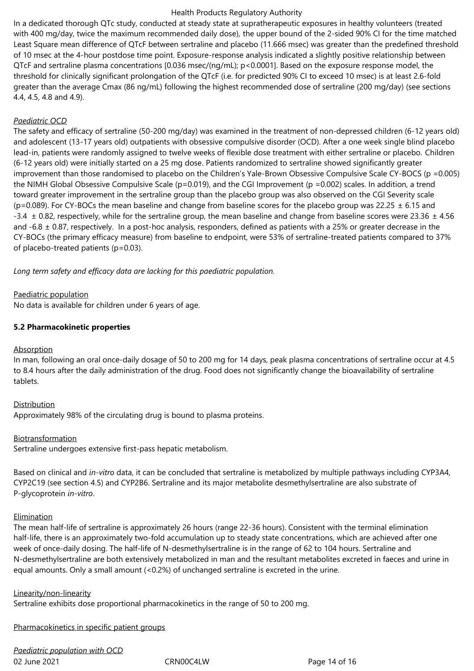In a dedicated thorough QTc study, conducted at steady state at supratherapeutic exposures in healthy volunteers (treated with 400 mg/day, twice the maximum recommended daily dose), the upper bound of the 2-sided 90% CI for the time matched Least Square mean difference of QTcF between sertraline and placebo (11.666 msec) was greater than the predefined threshold of 10 msec at the 4-hour postdose time point. Exposure-response analysis indicated a slightly positive relationship between QTcF and sertraline plasma concentrations [0.036 msec/(ng/mL); p<0.0001]. Based on the exposure response model, the threshold for clinically significant prolongation of the QTcF (i.e. for predicted 90% CI to exceed 10 msec) is at least 2.6-fold greater than the average Cmax (86 ng/mL) following the highest recommended dose of sertraline (200 mg/day) (see sections 4.4, 4.5, 4.8 and 4.9).

## *Paediatric OCD*

The safety and efficacy of sertraline (50-200 mg/day) was examined in the treatment of non-depressed children (6-12 years old) and adolescent (13-17 years old) outpatients with obsessive compulsive disorder (OCD). After a one week single blind placebo lead-in, patients were randomly assigned to twelve weeks of flexible dose treatment with either sertraline or placebo. Children (6-12 years old) were initially started on a 25 mg dose. Patients randomized to sertraline showed significantly greater improvement than those randomised to placebo on the Children's Yale-Brown Obsessive Compulsive Scale CY-BOCS (p =0.005) the NIMH Global Obsessive Compulsive Scale (p=0.019), and the CGI Improvement (p =0.002) scales. In addition, a trend toward greater improvement in the sertraline group than the placebo group was also observed on the CGI Severity scale ( $p=0.089$ ). For CY-BOCs the mean baseline and change from baseline scores for the placebo group was 22.25  $\pm$  6.15 and -3.4  $\pm$  0.82, respectively, while for the sertraline group, the mean baseline and change from baseline scores were 23.36  $\pm$  4.56 and -6.8 ± 0.87, respectively. In a post-hoc analysis, responders, defined as patients with a 25% or greater decrease in the CY-BOCs (the primary efficacy measure) from baseline to endpoint, were 53% of sertraline‑treated patients compared to 37% of placebo-treated patients (p=0.03).

*Long term safety and efficacy data are lacking for this paediatric population.*

## Paediatric population

No data is available for children under 6 years of age.

## **5.2 Pharmacokinetic properties**

## Absorption

In man, following an oral once-daily dosage of 50 to 200 mg for 14 days, peak plasma concentrations of sertraline occur at 4.5 to 8.4 hours after the daily administration of the drug. Food does not significantly change the bioavailability of sertraline tablets.

## **Distribution**

Approximately 98% of the circulating drug is bound to plasma proteins.

## Biotransformation

Sertraline undergoes extensive first-pass hepatic metabolism.

Based on clinical and *in-vitro* data, it can be concluded that sertraline is metabolized by multiple pathways including CYP3A4, CYP2C19 (see section 4.5) and CYP2B6. Sertraline and its major metabolite desmethylsertraline are also substrate of P-glycoprotein *in-vitro*.

## Elimination

The mean half-life of sertraline is approximately 26 hours (range 22-36 hours). Consistent with the terminal elimination half-life, there is an approximately two-fold accumulation up to steady state concentrations, which are achieved after one week of once-daily dosing. The half-life of N-desmethylsertraline is in the range of 62 to 104 hours. Sertraline and N-desmethylsertraline are both extensively metabolized in man and the resultant metabolites excreted in faeces and urine in equal amounts. Only a small amount (<0.2%) of unchanged sertraline is excreted in the urine.

## Linearity/non-linearity

Sertraline exhibits dose proportional pharmacokinetics in the range of 50 to 200 mg.

## Pharmacokinetics in specific patient groups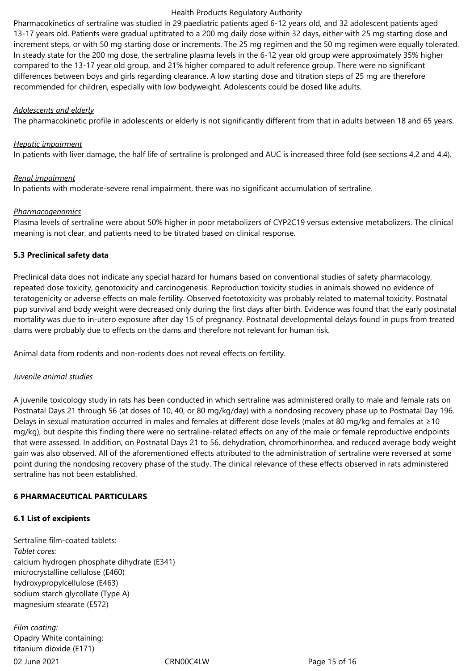Pharmacokinetics of sertraline was studied in 29 paediatric patients aged 6-12 years old, and 32 adolescent patients aged 13-17 years old. Patients were gradual uptitrated to a 200 mg daily dose within 32 days, either with 25 mg starting dose and increment steps, or with 50 mg starting dose or increments. The 25 mg regimen and the 50 mg regimen were equally tolerated. In steady state for the 200 mg dose, the sertraline plasma levels in the 6-12 year old group were approximately 35% higher compared to the 13-17 year old group, and 21% higher compared to adult reference group. There were no significant differences between boys and girls regarding clearance. A low starting dose and titration steps of 25 mg are therefore recommended for children, especially with low bodyweight. Adolescents could be dosed like adults.

#### *Adolescents and elderly*

The pharmacokinetic profile in adolescents or elderly is not significantly different from that in adults between 18 and 65 years.

#### *Hepatic impairment*

In patients with liver damage, the half life of sertraline is prolonged and AUC is increased three fold (see sections 4.2 and 4.4).

## *Renal impairment*

In patients with moderate-severe renal impairment, there was no significant accumulation of sertraline.

## *Pharmacogenomics*

Plasma levels of sertraline were about 50% higher in poor metabolizers of CYP2C19 versus extensive metabolizers. The clinical meaning is not clear, and patients need to be titrated based on clinical response.

## **5.3 Preclinical safety data**

Preclinical data does not indicate any special hazard for humans based on conventional studies of safety pharmacology, repeated dose toxicity, genotoxicity and carcinogenesis. Reproduction toxicity studies in animals showed no evidence of teratogenicity or adverse effects on male fertility. Observed foetotoxicity was probably related to maternal toxicity. Postnatal pup survival and body weight were decreased only during the first days after birth. Evidence was found that the early postnatal mortality was due to in-utero exposure after day 15 of pregnancy. Postnatal developmental delays found in pups from treated dams were probably due to effects on the dams and therefore not relevant for human risk.

Animal data from rodents and non-rodents does not reveal effects on fertility.

## *Juvenile animal studies*

A juvenile toxicology study in rats has been conducted in which sertraline was administered orally to male and female rats on Postnatal Days 21 through 56 (at doses of 10, 40, or 80 mg/kg/day) with a nondosing recovery phase up to Postnatal Day 196. Delays in sexual maturation occurred in males and females at different dose levels (males at 80 mg/kg and females at ≥10 mg/kg), but despite this finding there were no sertraline-related effects on any of the male or female reproductive endpoints that were assessed. In addition, on Postnatal Days 21 to 56, dehydration, chromorhinorrhea, and reduced average body weight gain was also observed. All of the aforementioned effects attributed to the administration of sertraline were reversed at some point during the nondosing recovery phase of the study. The clinical relevance of these effects observed in rats administered sertraline has not been established.

## **6 PHARMACEUTICAL PARTICULARS**

## **6.1 List of excipients**

Sertraline film-coated tablets: *Tablet cores:* calcium hydrogen phosphate dihydrate (E341) microcrystalline cellulose (E460) hydroxypropylcellulose (E463) sodium starch glycollate (Type A) magnesium stearate (E572)

02 June 2021 **CRNOOC4LW** CRNOOC4LW **Page 15 of 16** *Film coating:* Opadry White containing: titanium dioxide (E171)